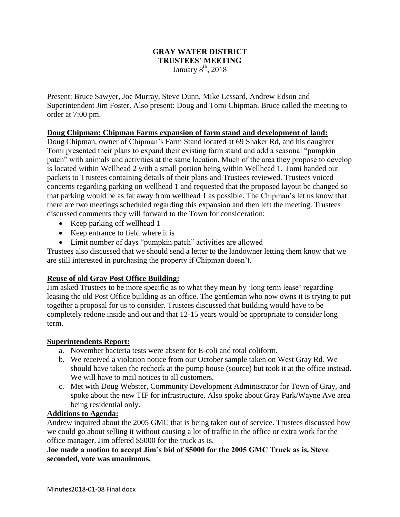## **GRAY WATER DISTRICT TRUSTEES' MEETING** January  $8<sup>th</sup>$ , 2018

Present: Bruce Sawyer, Joe Murray, Steve Dunn, Mike Lessard, Andrew Edson and Superintendent Jim Foster. Also present: Doug and Tomi Chipman. Bruce called the meeting to order at 7:00 pm.

## **Doug Chipman: Chipman Farms expansion of farm stand and development of land:**

Doug Chipman, owner of Chipman's Farm Stand located at 69 Shaker Rd, and his daughter Tomi presented their plans to expand their existing farm stand and add a seasonal "pumpkin patch" with animals and activities at the same location. Much of the area they propose to develop is located within Wellhead 2 with a small portion being within Wellhead 1. Tomi handed out packets to Trustees containing details of their plans and Trustees reviewed. Trustees voiced concerns regarding parking on wellhead 1 and requested that the proposed layout be changed so that parking would be as far away from wellhead 1 as possible. The Chipman's let us know that there are two meetings scheduled regarding this expansion and then left the meeting. Trustees discussed comments they will forward to the Town for consideration:

- Keep parking off wellhead 1
- Keep entrance to field where it is
- Limit number of days "pumpkin patch" activities are allowed

Trustees also discussed that we should send a letter to the landowner letting them know that we are still interested in purchasing the property if Chipman doesn't.

## **Reuse of old Gray Post Office Building:**

Jim asked Trustees to be more specific as to what they mean by 'long term lease' regarding leasing the old Post Office building as an office. The gentleman who now owns it is trying to put together a proposal for us to consider. Trustees discussed that building would have to be completely redone inside and out and that 12-15 years would be appropriate to consider long term.

### **Superintendents Report:**

- a. November bacteria tests were absent for E-coli and total coliform.
- b. We received a violation notice from our October sample taken on West Gray Rd. We should have taken the recheck at the pump house (source) but took it at the office instead. We will have to mail notices to all customers.
- c. Met with Doug Webster, Community Development Administrator for Town of Gray, and spoke about the new TIF for infrastructure. Also spoke about Gray Park/Wayne Ave area being residential only.

### **Additions to Agenda:**

Andrew inquired about the 2005 GMC that is being taken out of service. Trustees discussed how we could go about selling it without causing a lot of traffic in the office or extra work for the office manager. Jim offered \$5000 for the truck as is.

**Joe made a motion to accept Jim's bid of \$5000 for the 2005 GMC Truck as is. Steve seconded, vote was unanimous.**